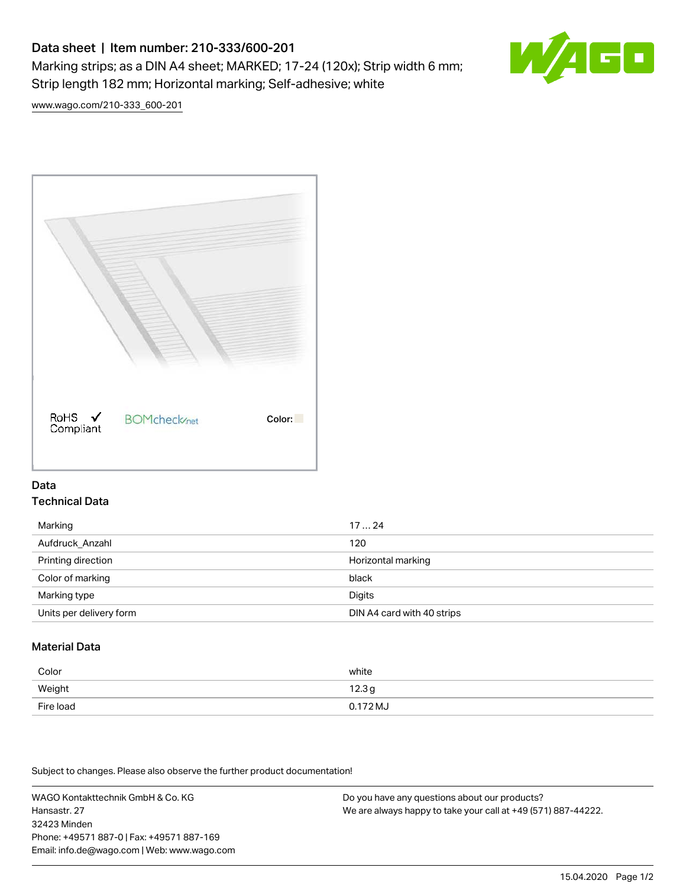# Data sheet | Item number: 210-333/600-201 Marking strips; as a DIN A4 sheet; MARKED; 17-24 (120x); Strip width 6 mm; Strip length 182 mm; Horizontal marking; Self-adhesive; white



[www.wago.com/210-333\\_600-201](http://www.wago.com/210-333_600-201)



## Data Technical Data

| Marking                 | 1724                       |
|-------------------------|----------------------------|
| Aufdruck Anzahl         | 120                        |
| Printing direction      | Horizontal marking         |
| Color of marking        | black                      |
| Marking type            | Digits                     |
| Units per delivery form | DIN A4 card with 40 strips |

# Material Data

| Color     | white             |
|-----------|-------------------|
| Weight    | 12.3 <sub>g</sub> |
| Fire load | $0.172 M_J$       |

Subject to changes. Please also observe the further product documentation!

WAGO Kontakttechnik GmbH & Co. KG Hansastr. 27 32423 Minden Phone: +49571 887-0 | Fax: +49571 887-169 Email: info.de@wago.com | Web: www.wago.com Do you have any questions about our products? We are always happy to take your call at +49 (571) 887-44222.